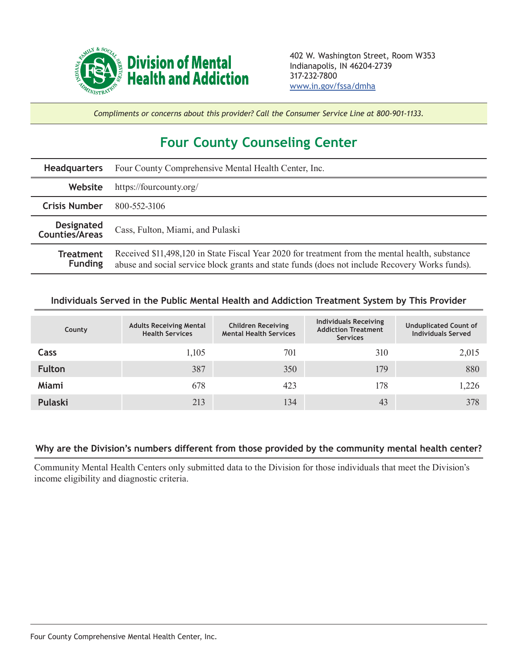

*Compliments or concerns about this provider? Call the Consumer Service Line at 800-901-1133.*

## **Four County Counseling Center**

| <b>Headquarters</b>                        | Four County Comprehensive Mental Health Center, Inc.                                                                                                                                              |  |  |  |
|--------------------------------------------|---------------------------------------------------------------------------------------------------------------------------------------------------------------------------------------------------|--|--|--|
| Website                                    | https://fourcounty.org/                                                                                                                                                                           |  |  |  |
| <b>Crisis Number</b>                       | 800-552-3106                                                                                                                                                                                      |  |  |  |
| <b>Designated</b><br><b>Counties/Areas</b> | Cass, Fulton, Miami, and Pulaski                                                                                                                                                                  |  |  |  |
| <b>Treatment</b><br><b>Funding</b>         | Received \$11,498,120 in State Fiscal Year 2020 for treatment from the mental health, substance<br>abuse and social service block grants and state funds (does not include Recovery Works funds). |  |  |  |

## **Individuals Served in the Public Mental Health and Addiction Treatment System by This Provider**

| County        | <b>Adults Receiving Mental</b><br><b>Health Services</b> | <b>Children Receiving</b><br><b>Mental Health Services</b> | <b>Individuals Receiving</b><br><b>Addiction Treatment</b><br><b>Services</b> | <b>Unduplicated Count of</b><br><b>Individuals Served</b> |
|---------------|----------------------------------------------------------|------------------------------------------------------------|-------------------------------------------------------------------------------|-----------------------------------------------------------|
| Cass          | 1,105                                                    | 701                                                        | 310                                                                           | 2,015                                                     |
| <b>Fulton</b> | 387                                                      | 350                                                        | 179                                                                           | 880                                                       |
| Miami         | 678                                                      | 423                                                        | 178                                                                           | 1,226                                                     |
| Pulaski       | 213                                                      | 134                                                        | 43                                                                            | 378                                                       |

## **Why are the Division's numbers different from those provided by the community mental health center?**

Community Mental Health Centers only submitted data to the Division for those individuals that meet the Division's income eligibility and diagnostic criteria.